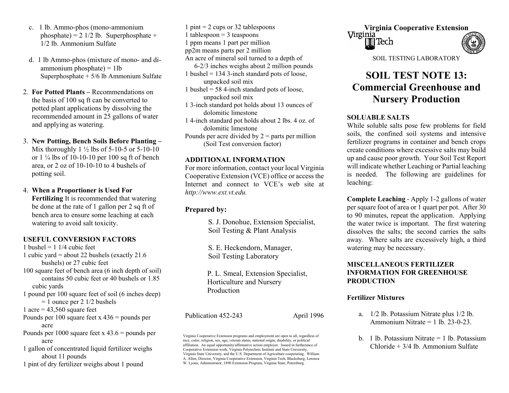- c. 1 lb. Am m o-phos (mono-am moniumphosphate) =  $2 \frac{1}{2}$  lb. Superphosphate + 1/2 lb. Ammonium Sulfate
- ammonium phosphate) = 1lb Superphosphate + 5/6 lb A m monium Sulfate
- 2. **For Potted Plants –** Recommendations on the basis of 100 sq ft can be converted to potted plant applications by dissolving the recommended amount in 25 gallons of water and applying as watering.
- 3. **New Potting, Bench Soils Before Planting –** (Soil Test conversion factor) Mix thoroughly  $1 \frac{1}{2}$  lbs of 5-10-5 or 5-10-10 or 1 ¼ lbs of 10-10-10 per 100 sq ft of bench area, or 2 oz of 10-10-10 to 4 bushels of potting soil.
- 4. **When a Proportioner is Used For** *http://www.ext.vt.edu.*<br>**Fertilizing** It is recommended that watering be done at the rate of 1 gallon per 2 sq ft of bench area to ensure some leaching at each watering to avoid salt toxicity.

## **USEFUL CONVERSION FACTORS**

- 1 bushel = 1 1/4 cubic feet S. E. Heckendorn, Manager, 1 cubic yard = about 22 bushels (exactly 21.6 bushels) or 27 cubic feet 100 square feet of bench area (6 inch depth of soil) contains 50 cubic feet or 40 bushels or 1.85 cubic yards 1 pound per 100 square feet of soil (6 inches deep) = 1 ounce per 2 1/2 bushels **Fertilizer Mixtures** 1 acre = 43,560 square feet  $\frac{1}{2}$  acre = 43,560 square feet  $\frac{1}{2}$  a. 1/2 lb. Potassium Nitrate plus 1/2 lb.<br>Pounds per 100 square feet x 436 = pounds per Publication 452-243 April 1996 a. 1/2 lb. Potassium Nitrate Pounds per 100 square feet x  $436$  = pounds per acre Pounds per 1000 square feet x 43.6 = pounds per acre
- 1 gallon of concentrated liquid fertilizer weighs about 11 pounds
- 1 pint of dry fertilizer weighs about 1 pound

1 pint  $= 2$  cups or 32 tablespoons 1 tablespoon  $=$  3 teaspoons 1 ppm means 1 part per million pp2m means parts per 2 million A d. 1 lb Ammo-phos (mixture of mono- and di-<br>An acre of mineral soil turned to a depth of SOIL TESTING LABORATORY 6-2/3 inches weighs about 2 million pounds 1 bushel = 134 3-inch standard pots of loose,<br>
unpacked soil mix<br> **SOIL TEST NOTE 13:** 1 bushel  $=$  58 4-inch standard pots of loose, unpacked soil mix 1 3-inch standard pot holds about 13 ounces of dolomitic limestone<br>1 4-inch standard pot holds about 2 lbs. 4 oz. of **SOLUABLE SALTS** Pounds per acre divided by  $2 =$  parts per million

## **ADDITIONAL INFORMATION**

For m ore information, contact your local Virginia Cooperative Extension (VCE) office or access the Internet and connect to VCE's web site at

## **Prepared by:**

S. J. Donohue, Extension Specialist, Soil Testing & Plant Analysis

Soil Testing Laboratory

 P. L. Smeal, Extension Specialist, Horticulture and Nursery Production



# **Commercial Greenhouse and Nursery Production**

 $\frac{d}{dx}$  dolomitic limestone while soluble salts pose few problems for field soils, the confined soil systems and intensive fertilizer programs in container and bench crops create conditions where excessive salts may build up and cause poor growth. Your Soil Test Report will indicate whether Leaching or Partial leaching is needed. The following are guidelines for leaching:

> **Complete Leaching** - Apply 1-2 gallons of water per square foot of area or 1 quart per pot. After 30 to 90 minutes, repeat the application. Applying the water twice is important. The first watering dissolves the salts; the second carries the salts away. Where salts are excessively high, a third watering may be necessary.

## **MISCELLANEOUS FERTILIZER INFORMATION FOR GREENHOUSE PRODUCTION**

- Ammonium Nitrate =  $1 \text{ lb}$  23-0-23
- b. 1 lb. Potassium Nitrate = 1 lb. Potassium Chloride + 3/4 lb. Ammonium Sulfate

Virginia Cooperative Extension programs and employment are open to all, regardless of race, color, religion, sex, age, veteran status, national origin, disability, or political affiliation. An equal opportunity/affirmative action employer. Issued in furtherance of Cooperative Extension work, Virginia Polytechnic Institute and State University, Virginia State University, and the U.S. Department of Agriculture cooperating. William A. Allen, Director, Virginia Cooperative Extension, Virginia Tech, Blacksburg; Lorenza W. Lyons, Administrator, 1890 Extension Program, Virginia State, Petersburg.